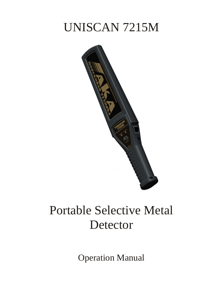# UNISCAN 7215M



# Portable Selective Metal Detector

Operation Manual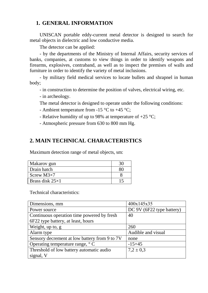## **1. GENERAL INFORMATION**

UNISCAN portable eddy-current metal detector is designed to search for metal objects in dielectric and low conductive media.

The detector can be applied:

- by the departments of the Ministry of Internal Affairs, security services of banks, companies, at customs to view things in order to identify weapons and firearms, explosives, contraband, as well as to inspect the premises of walls and furniture in order to identify the variety of metal inclusions.

- by military field medical services to locate bullets and shrapnel in human body;

- in construction to determine the position of valves, electrical wiring, etc.

- in archeology.

The metal detector is designed to operate under the following conditions:

- Ambient temperature from -15 °C to +45 °C:
- Relative humidity of up to 98% at temperature of  $+25$  °C;
- Atmospheric pressure from 630 to 800 mm Hg.

## **2. MAIN TECHNICAL CHARACTERISTICS**

Maximum detection range of metal objects, sm:

| Makarov gun            |  |
|------------------------|--|
| Drain hatch            |  |
| Screw $M3\times7$      |  |
| Brass disk $25\times1$ |  |

Technical characteristics:

| Dimensions, mm                                | 400x145x35                |
|-----------------------------------------------|---------------------------|
| Power source                                  | DC 9V (6F22 type battery) |
| Continuous operation time powered by fresh    | 40                        |
| 6F22 type battery, at least, hours            |                           |
| Weight, up to, g                              | 260                       |
| Alarm type                                    | Audible and visual        |
| Sensory decrement at low battery from 9 to 7V | none                      |
| Operating temperature range, $\degree$ C      | $-15+45$                  |
| Threshold of low battery automatic audio      | $7.2 \pm 0.3$             |
| signal, V                                     |                           |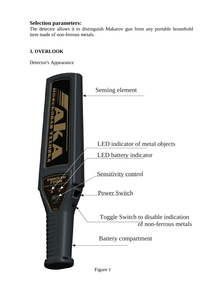### **Selection parameters:**

The detector allows it to distinguish Makarov gun from any portable household item made of non-ferrous metals.

#### **3. OVERLOOK**

Detector's Appearance

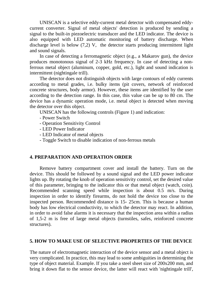UNISCAN is a selective eddy-current metal detector with compensated eddycurrent converter. Signal of metal objects' detection is produced by sending a signal to the built-in piezoelectric transducer and the LED indicator. The device is also equipped with LED automatic monitoring of battery discharge. When discharge level is below (7,2) V, the detector starts producing intermittent light and sound signals.

In case of detecting a ferromagnetic object (e.g., a Makarov gun), the device produces monotonous signal of 2-3 kHz frequency. In case of detecting a nonferrous metal object (aluminum, copper, gold, etc.), light and sound indication is intermittent (nightingale trill).

The detector does not distinguish objects with large contours of eddy currents according to metal grades, i.e. bulky items (pit covers, network of reinforced concrete structures, body armor). However, these items are identified by the user according to the detection range. In this case, this value can be up to 80 cm. The device has a dynamic operation mode, i.e. metal object is detected when moving the detector over this object.

UNISCAN has the following controls (Figure 1) and indication:

- Power Switch
- Operation Sensitivity Control
- LED Power Indicator
- LED Indicator of metal objects
- Toggle Switch to disable indication of non-ferrous metals

#### **4. PREPARATION AND OPERATION ORDER**

Remove battery compartment cover and install the battery. Turn on the device. This should be followed by a sound signal and the LED power indicator lights up. By rotating the knob of operation sensitivity control, set the desired value of this parameter, bringing to the indicator this or that metal object (watch, coin). Recommended scanning speed while inspection is about 0.5 m/s. During inspection in order to identify firearms, do not hold the device too close to the inspected person. Recommended distance is 15- 25cm. This is because a human body has low electrical conductivity, to which the detector may react. In addition, in order to avoid false alarms it is necessary that the inspection area within a radius of 1,5-2 m is free of large metal objects (turnstiles, safes, reinforced concrete structures).

#### **5. HOW TO MAKE USE OF SELECTIVE PROPERTIES OF THE DEVICE**

The nature of electromagnetic interaction of the device sensor and a metal object is very complicated. In practice, this may lead to some ambiguities in determining the type of object material. Example. If you take a steel sheet size of 200x200 mm, and bring it down flat to the sensor device, the latter will react with 'nightingale trill',